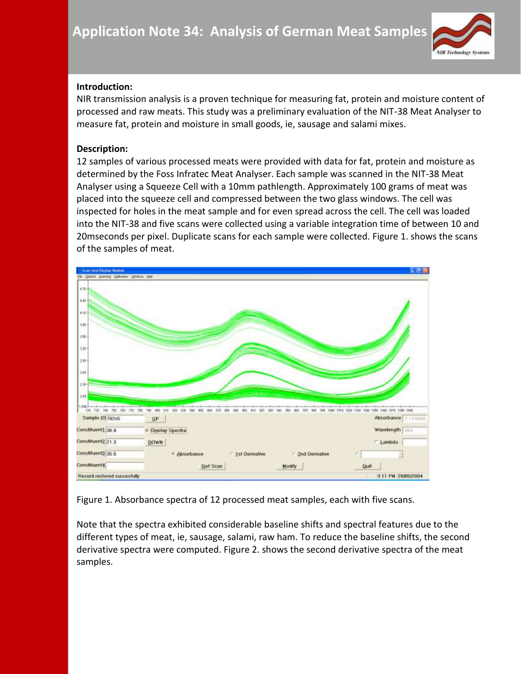

## **Introduction:**

NIR transmission analysis is a proven technique for measuring fat, protein and moisture content of processed and raw meats. This study was a preliminary evaluation of the NIT-38 Meat Analyser to measure fat, protein and moisture in small goods, ie, sausage and salami mixes.

## **Description:**

12 samples of various processed meats were provided with data for fat, protein and moisture as determined by the Foss Infratec Meat Analyser. Each sample was scanned in the NIT-38 Meat Analyser using a Squeeze Cell with a 10mm pathlength. Approximately 100 grams of meat was placed into the squeeze cell and compressed between the two glass windows. The cell was inspected for holes in the meat sample and for even spread across the cell. The cell was loaded into the NIT-38 and five scans were collected using a variable integration time of between 10 and 20mseconds per pixel. Duplicate scans for each sample were collected. Figure 1. shows the scans of the samples of meat.



Figure 1. Absorbance spectra of 12 processed meat samples, each with five scans.

Note that the spectra exhibited considerable baseline shifts and spectral features due to the different types of meat, ie, sausage, salami, raw ham. To reduce the baseline shifts, the second derivative spectra were computed. Figure 2. shows the second derivative spectra of the meat samples.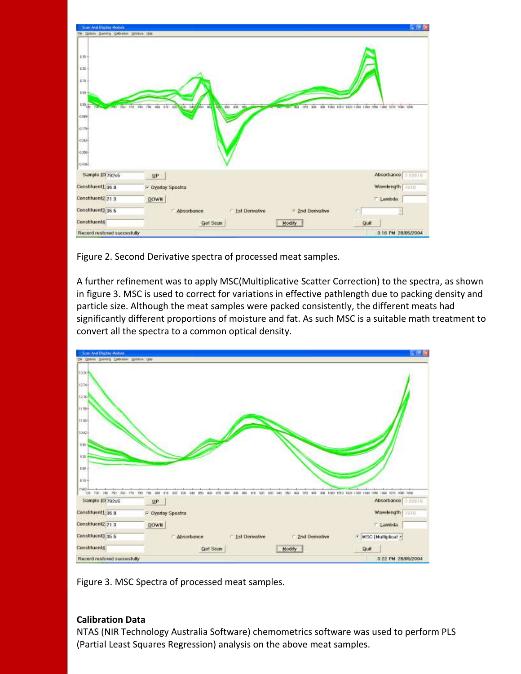| <b>Scan And Display Module</b>                                                        |                                                                                                        | <b>CEX</b>                                            |
|---------------------------------------------------------------------------------------|--------------------------------------------------------------------------------------------------------|-------------------------------------------------------|
| Option Scentry Californian Elisburg Hala                                              |                                                                                                        |                                                       |
| $E36 +$<br>ta.<br>110<br>EB+<br>(10)<br>0.000<br>0.1/5<br>0.263<br>0.750<br>$0.439 +$ | 760 770 780 780<br><b>SID</b><br>000 011 100 028 343<br><b>BOO #30</b><br><b>BOT</b><br>85<br>w<br>MAG | W00 1000 1010 1209 1000 1000 1010 1080 1070 1080 1080 |
| Sample 10 792s5                                                                       | <b>UP</b>                                                                                              | Absorbance 07019                                      |
| Constituent1 36.9                                                                     | P Oyerlay Spectra                                                                                      |                                                       |
|                                                                                       |                                                                                                        | Wavelength 1010                                       |
|                                                                                       | <b>DOWN</b>                                                                                            | Lambda                                                |
|                                                                                       | Absorbance<br>F 1st Derwative<br><sup>3</sup> 2nd Derivative                                           |                                                       |
| Constituent2 21.3<br>Constituent3 35.5<br>Constituent4                                | Get Scan<br>Modify                                                                                     | Quit                                                  |

Figure 2. Second Derivative spectra of processed meat samples.

A further refinement was to apply MSC(Multiplicative Scatter Correction) to the spectra, as shown in figure 3. MSC is used to correct for variations in effective pathlength due to packing density and particle size. Although the meat samples were packed consistently, the different meats had significantly different proportions of moisture and fat. As such MSC is a suitable math treatment to convert all the spectra to a common optical density.



Figure 3. MSC Spectra of processed meat samples.

## **Calibration Data**

NTAS (NIR Technology Australia Software) chemometrics software was used to perform PLS (Partial Least Squares Regression) analysis on the above meat samples.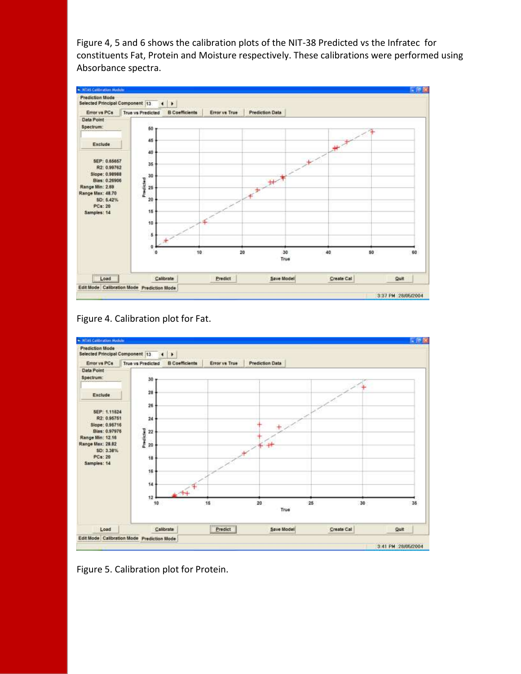Figure 4, 5 and 6 shows the calibration plots of the NIT-38 Predicted vs the Infratec for constituents Fat, Protein and Moisture respectively. These calibrations were performed using Absorbance spectra.







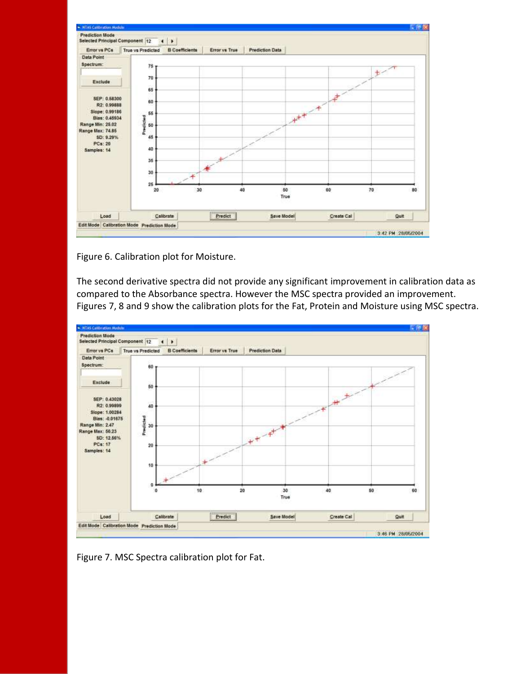

Figure 6. Calibration plot for Moisture.

The second derivative spectra did not provide any significant improvement in calibration data as compared to the Absorbance spectra. However the MSC spectra provided an improvement. Figures 7, 8 and 9 show the calibration plots for the Fat, Protein and Moisture using MSC spectra.



Figure 7. MSC Spectra calibration plot for Fat.